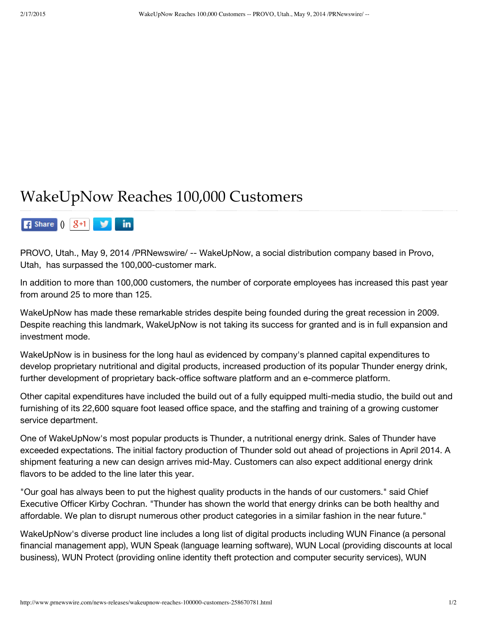## WakeUpNow Reaches 100,000 Customers

**F** Share  $\int$   $\int$   $\int$   $\frac{9+1}{1}$   $\int$   $\int$   $\int$   $\ln$ 

PROVO, Utah., May 9, 2014 /PRNewswire/ -- WakeUpNow, a social distribution company based in Provo, Utah, has surpassed the 100,000-customer mark.

In addition to more than 100,000 customers, the number of corporate employees has increased this past year from around 25 to more than 125.

WakeUpNow has made these remarkable strides despite being founded during the great recession in 2009. Despite reaching this landmark, WakeUpNow is not taking its success for granted and is in full expansion and investment mode.

WakeUpNow is in business for the long haul as evidenced by company's planned capital expenditures to develop proprietary nutritional and digital products, increased production of its popular Thunder energy drink, further development of proprietary back-office software platform and an e-commerce platform.

Other capital expenditures have included the build out of a fully equipped multi-media studio, the build out and furnishing of its 22,600 square foot leased office space, and the staffing and training of a growing customer service department.

One of WakeUpNow's most popular products is Thunder, a nutritional energy drink. Sales of Thunder have exceeded expectations. The initial factory production of Thunder sold out ahead of projections in April 2014. A shipment featuring a new can design arrives mid-May. Customers can also expect additional energy drink flavors to be added to the line later this year.

"Our goal has always been to put the highest quality products in the hands of our customers." said Chief Executive Officer Kirby Cochran. "Thunder has shown the world that energy drinks can be both healthy and affordable. We plan to disrupt numerous other product categories in a similar fashion in the near future."

WakeUpNow's diverse product line includes a long list of digital products including WUN Finance (a personal financial management app), WUN Speak (language learning software), WUN Local (providing discounts at local business), WUN Protect (providing online identity theft protection and computer security services), WUN